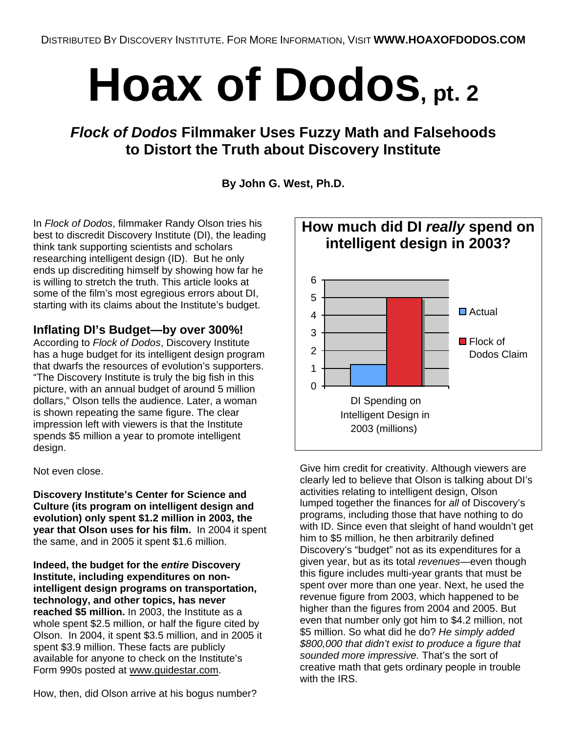# **Hoax of Dodos, pt. 2**

## *Flock of Dodos* **Filmmaker Uses Fuzzy Math and Falsehoods to Distort the Truth about Discovery Institute**

## **By John G. West, Ph.D.**

In *Flock of Dodos*, filmmaker Randy Olson tries his best to discredit Discovery Institute (DI), the leading think tank supporting scientists and scholars researching intelligent design (ID). But he only ends up discrediting himself by showing how far he is willing to stretch the truth. This article looks at some of the film's most egregious errors about DI, starting with its claims about the Institute's budget.

## **Inflating DI's Budget—by over 300%!**

According to *Flock of Dodos*, Discovery Institute has a huge budget for its intelligent design program that dwarfs the resources of evolution's supporters. "The Discovery Institute is truly the big fish in this picture, with an annual budget of around 5 million dollars," Olson tells the audience. Later, a woman is shown repeating the same figure. The clear impression left with viewers is that the Institute spends \$5 million a year to promote intelligent design.

Not even close.

**Discovery Institute's Center for Science and Culture (its program on intelligent design and evolution) only spent \$1.2 million in 2003, the year that Olson uses for his film.** In 2004 it spent the same, and in 2005 it spent \$1.6 million.

**Indeed, the budget for the** *entire* **Discovery Institute, including expenditures on nonintelligent design programs on transportation, technology, and other topics, has never reached \$5 million.** In 2003, the Institute as a whole spent \$2.5 million, or half the figure cited by Olson. In 2004, it spent \$3.5 million, and in 2005 it spent \$3.9 million. These facts are publicly available for anyone to check on the Institute's Form 990s posted at www.guidestar.com.

How, then, did Olson arrive at his bogus number?



Give him credit for creativity. Although viewers are clearly led to believe that Olson is talking about DI's activities relating to intelligent design, Olson lumped together the finances for *all* of Discovery's programs, including those that have nothing to do with ID. Since even that sleight of hand wouldn't get him to \$5 million, he then arbitrarily defined Discovery's "budget" not as its expenditures for a given year, but as its total *revenues*—even though this figure includes multi-year grants that must be spent over more than one year. Next, he used the revenue figure from 2003, which happened to be higher than the figures from 2004 and 2005. But even that number only got him to \$4.2 million, not \$5 million. So what did he do? *He simply added \$800,000 that didn't exist to produce a figure that sounded more impressive.* That's the sort of creative math that gets ordinary people in trouble with the IRS.